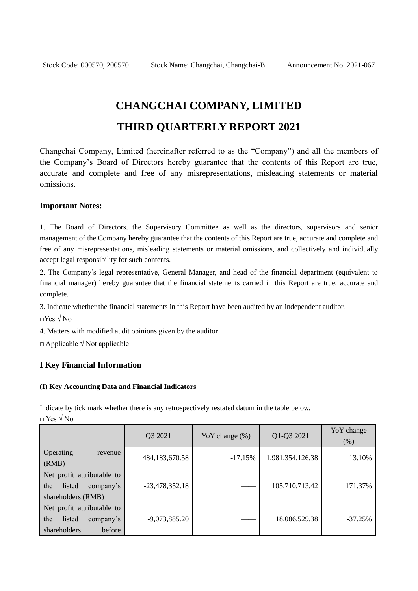# **CHANGCHAI COMPANY, LIMITED THIRD QUARTERLY REPORT 2021**

Changchai Company, Limited (hereinafter referred to as the "Company") and all the members of the Company's Board of Directors hereby guarantee that the contents of this Report are true, accurate and complete and free of any misrepresentations, misleading statements or material omissions.

#### **Important Notes:**

1. The Board of Directors, the Supervisory Committee as well as the directors, supervisors and senior management of the Company hereby guarantee that the contents of this Report are true, accurate and complete and free of any misrepresentations, misleading statements or material omissions, and collectively and individually accept legal responsibility for such contents.

2. The Company's legal representative, General Manager, and head of the financial department (equivalent to financial manager) hereby guarantee that the financial statements carried in this Report are true, accurate and complete.

3. Indicate whether the financial statements in this Report have been audited by an independent auditor.

□Yes √ No

4. Matters with modified audit opinions given by the auditor

 $\Box$  Applicable  $\sqrt{N}$  Not applicable

#### **I Key Financial Information**

#### **(I) Key Accounting Data and Financial Indicators**

Indicate by tick mark whether there is any retrospectively restated datum in the table below.

 $\Box$  Yes  $\sqrt{N_0}$ 

|                                                                                    | Q3 2021           | Yo Y change $(\%)$ | Q1-Q3 2021       | YoY change<br>(% ) |
|------------------------------------------------------------------------------------|-------------------|--------------------|------------------|--------------------|
| Operating<br>revenue<br>(RMB)                                                      | 484, 183, 670. 58 | $-17.15%$          | 1,981,354,126.38 | 13.10%             |
| Net profit attributable to<br>the<br>listed<br>company's<br>shareholders (RMB)     | $-23,478,352.18$  |                    | 105,710,713.42   | 171.37%            |
| Net profit attributable to<br>the<br>listed<br>company's<br>shareholders<br>before | $-9,073,885.20$   |                    | 18,086,529.38    | $-37.25%$          |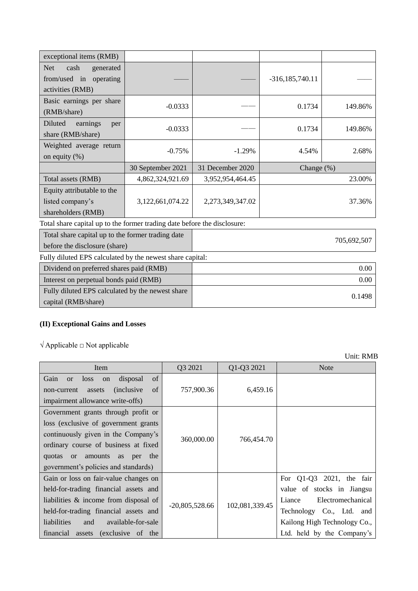| exceptional items (RMB)                                                            |                   |                  |                     |             |  |
|------------------------------------------------------------------------------------|-------------------|------------------|---------------------|-------------|--|
| <b>Net</b><br>cash<br>generated<br>from/used in operating<br>activities (RMB)      |                   |                  | $-316, 185, 740.11$ |             |  |
| Basic earnings per share<br>(RMB/share)                                            | $-0.0333$         |                  | 0.1734              | 149.86%     |  |
| Diluted<br>earnings<br>per<br>share (RMB/share)                                    | $-0.0333$         |                  | 0.1734              | 149.86%     |  |
| Weighted average return<br>on equity $(\%)$                                        | $-0.75%$          | $-1.29%$         | 4.54%               | 2.68%       |  |
|                                                                                    | 30 September 2021 | 31 December 2020 | Change $(\%)$       |             |  |
| Total assets (RMB)                                                                 | 4,862,324,921.69  | 3,952,954,464.45 | 23.00%              |             |  |
| Equity attributable to the<br>listed company's<br>shareholders (RMB)               | 3,122,661,074.22  | 2,273,349,347.02 |                     | 37.36%      |  |
| Total share capital up to the former trading date before the disclosure:           |                   |                  |                     |             |  |
| Total share capital up to the former trading date<br>before the disclosure (share) |                   |                  |                     | 705,692,507 |  |
| Fully diluted EPS calculated by the newest share capital:                          |                   |                  |                     |             |  |
| Dividend on preferred shares paid (RMB)                                            |                   | 0.00             |                     |             |  |
| Interest on perpetual bonds paid (RMB)                                             |                   | 0.00             |                     |             |  |
| Fully diluted EPS calculated by the newest share                                   |                   |                  |                     | 0.1498      |  |

## **(II) Exceptional Gains and Losses**

 $\sqrt{\text{Applied}}$   $\square$  Not applicable

capital (RMB/share)

| Item                                                                                                                                                                                                                                                     | Q3 2021          | Q1-Q3 2021     | <b>Note</b>                                                                                                                                                                       |
|----------------------------------------------------------------------------------------------------------------------------------------------------------------------------------------------------------------------------------------------------------|------------------|----------------|-----------------------------------------------------------------------------------------------------------------------------------------------------------------------------------|
| of<br>Gain<br>disposal<br>loss<br>on<br><sub>or</sub><br>of<br><i>(inclusive)</i><br>non-current<br>assets<br>impairment allowance write-offs)                                                                                                           | 757,900.36       | 6,459.16       |                                                                                                                                                                                   |
| Government grants through profit or<br>loss (exclusive of government grants)<br>continuously given in the Company's<br>ordinary course of business at fixed<br>quotas or amounts<br>the<br>per<br>as<br>government's policies and standards)             | 360,000.00       | 766,454.70     |                                                                                                                                                                                   |
| Gain or loss on fair-value changes on<br>held-for-trading financial assets and<br>liabilities $\&$ income from disposal of<br>held-for-trading financial assets and<br>liabilities<br>available-for-sale<br>and<br>financial assets<br>(exclusive of the | $-20,805,528.66$ | 102,081,339.45 | For $Q1-Q3$ 2021, the fair<br>value of stocks in Jiangsu<br>Liance<br>Electromechanical<br>Technology Co., Ltd. and<br>Kailong High Technology Co.,<br>Ltd. held by the Company's |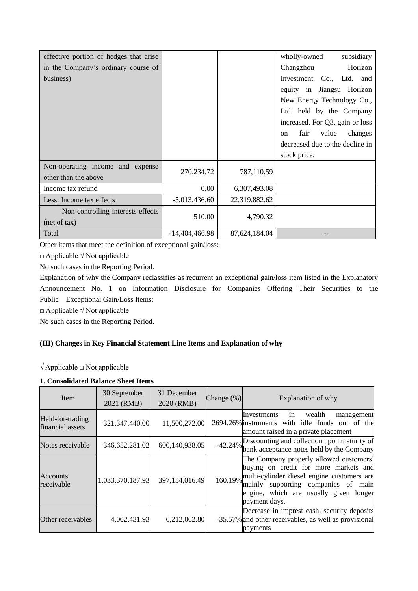| effective portion of hedges that arise |                  |               | wholly-owned<br>subsidiary                |
|----------------------------------------|------------------|---------------|-------------------------------------------|
| in the Company's ordinary course of    |                  |               | Horizon<br>Changzhou                      |
| business)                              |                  |               | Investment Co., Ltd. and                  |
|                                        |                  |               | equity in Jiangsu Horizon                 |
|                                        |                  |               | New Energy Technology Co.,                |
|                                        |                  |               | Ltd. held by the Company                  |
|                                        |                  |               | increased. For Q3, gain or loss           |
|                                        |                  |               | fair<br>value<br>changes<br><sub>on</sub> |
|                                        |                  |               | decreased due to the decline in           |
|                                        |                  |               | stock price.                              |
| Non-operating income and expense       |                  |               |                                           |
| other than the above                   | 270,234.72       | 787,110.59    |                                           |
| Income tax refund                      | 0.00             | 6,307,493.08  |                                           |
| Less: Income tax effects               | $-5,013,436.60$  | 22,319,882.62 |                                           |
| Non-controlling interests effects      |                  |               |                                           |
| (net of tax)                           | 510.00           | 4,790.32      |                                           |
| Total                                  | $-14,404,466.98$ | 87,624,184.04 |                                           |

Other items that meet the definition of exceptional gain/loss:

□ Applicable √ Not applicable

No such cases in the Reporting Period.

Explanation of why the Company reclassifies as recurrent an exceptional gain/loss item listed in the Explanatory Announcement No. 1 on Information Disclosure for Companies Offering Their Securities to the Public—Exceptional Gain/Loss Items:

 $\Box$  Applicable  $\sqrt{N}$  Not applicable

No such cases in the Reporting Period.

## **(III) Changes in Key Financial Statement Line Items and Explanation of why**

 $\sqrt{\text{Applied}}$   $\Box$  Not applicable

#### **1. Consolidated Balance Sheet Items**

| Item                                 | 30 September<br>2021 (RMB) | 31 December<br>2020 (RMB) | Change $(\%)$ | Explanation of why                                                                                                                                                                                                                       |
|--------------------------------------|----------------------------|---------------------------|---------------|------------------------------------------------------------------------------------------------------------------------------------------------------------------------------------------------------------------------------------------|
| Held-for-trading<br>financial assets | 321, 347, 440.00           | 11,500,272.00             |               | wealth<br>Investments in<br>management<br>2694.26% instruments with idle funds out of the<br>amount raised in a private placement                                                                                                        |
| Notes receivable                     | 346,652,281.02             | 600,140,938.05            |               | -42.24% Discounting and collection upon maturity of<br>bank acceptance notes held by the Company                                                                                                                                         |
| Accounts<br>receivable               | 1,033,370,187.93           | 397,154,016.49            |               | The Company properly allowed customers'<br>buying on credit for more markets and<br>160.19% multi-cylinder diesel engine customers are<br>mainly supporting companies of main<br>engine, which are usually given longer<br>payment days. |
| Other receivables                    | 4,002,431.93               | 6,212,062.80              |               | Decrease in imprest cash, security deposits<br>-35.57% and other receivables, as well as provisional<br>payments                                                                                                                         |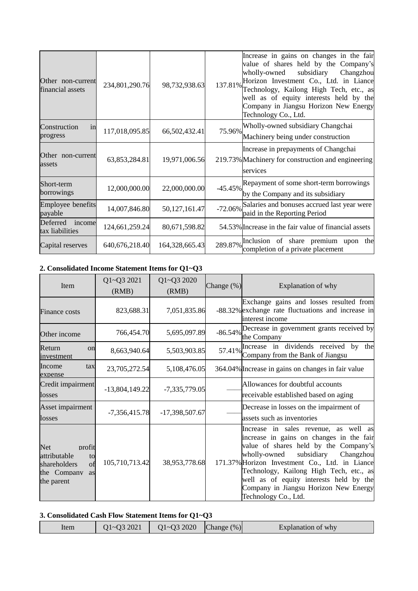| Other non-current<br>financial assets | 234,801,290.76    | 98,732,938.63  | Increase in gains on changes in the fair<br>value of shares held by the Company's<br>subsidiary<br>wholly-owned<br>Changzhou<br>Horizon Investment Co., Ltd. in Liance<br>137.81%<br>Technology, Kailong High Tech, etc., as<br>well as of equity interests held by the<br>Company in Jiangsu Horizon New Energy<br>Technology Co., Ltd. |
|---------------------------------------|-------------------|----------------|------------------------------------------------------------------------------------------------------------------------------------------------------------------------------------------------------------------------------------------------------------------------------------------------------------------------------------------|
| Construction<br>in<br>progress        | 117,018,095.85    | 66,502,432.41  | Wholly-owned subsidiary Changchai<br>75.96%<br>Machinery being under construction                                                                                                                                                                                                                                                        |
| Other non-current<br>assets           | 63,853,284.81     | 19,971,006.56  | Increase in prepayments of Changchai<br>219.73% Machinery for construction and engineering<br>services                                                                                                                                                                                                                                   |
| Short-term<br>borrowings              | 12,000,000.00     | 22,000,000.00  | Repayment of some short-term borrowings<br>$-45.45%$<br>by the Company and its subsidiary                                                                                                                                                                                                                                                |
| Employee benefits<br>payable          | 14,007,846.80     | 50,127,161.47  | Salaries and bonuses accrued last year were<br>$-72.06%$<br>paid in the Reporting Period                                                                                                                                                                                                                                                 |
| Deferred<br>income<br>tax liabilities | 124,661,259.24    | 80,671,598.82  | 54.53% Increase in the fair value of financial assets                                                                                                                                                                                                                                                                                    |
| Capital reserves                      | 640, 676, 218. 40 | 164,328,665.43 | of share premium upon<br>289.87% Inclusion<br>the<br>completion of a private placement                                                                                                                                                                                                                                                   |

## **2. Consolidated Income Statement Items for Q1~Q3**

| Item                                                                                                | Q1~Q3 2021<br>(RMB) | Q1~Q3 2020<br>(RMB) | Change $(\%)$ | Explanation of why                                                                                                                                                                                                                                                                                                                                                             |
|-----------------------------------------------------------------------------------------------------|---------------------|---------------------|---------------|--------------------------------------------------------------------------------------------------------------------------------------------------------------------------------------------------------------------------------------------------------------------------------------------------------------------------------------------------------------------------------|
| <b>Finance costs</b>                                                                                | 823,688.31          | 7,051,835.86        |               | Exchange gains and losses resulted from<br>-88.32% exchange rate fluctuations and increase in<br>interest income                                                                                                                                                                                                                                                               |
| Other income                                                                                        | 766,454.70          | 5,695,097.89        |               | $-86.54\%$ Decrease in government grants received by<br>the Company                                                                                                                                                                                                                                                                                                            |
| Return<br>on<br>investment                                                                          | 8,663,940.64        | 5,503,903.85        |               | 57.41% Increase in dividends received by the Company from the Bank of Jiangsu                                                                                                                                                                                                                                                                                                  |
| Income<br>tax<br>expense                                                                            | 23,705,272.54       | 5,108,476.05        |               | 364.04% Increase in gains on changes in fair value                                                                                                                                                                                                                                                                                                                             |
| Credit impairment<br>losses                                                                         | $-13,804,149.22$    | $-7,335,779.05$     |               | Allowances for doubtful accounts<br>receivable established based on aging                                                                                                                                                                                                                                                                                                      |
| Asset impairment<br>losses                                                                          | $-7,356,415.78$     | -17,398,507.67      |               | Decrease in losses on the impairment of<br>assets such as inventories                                                                                                                                                                                                                                                                                                          |
| <b>Net</b><br>profit<br>attributable<br>to<br>shareholders<br>of<br>the Company<br>as<br>the parent | 105,710,713.42      | 38,953,778.68       |               | Increase in sales revenue, as well as<br>increase in gains on changes in the fair<br>value of shares held by the Company's<br>subsidiary<br>Changzhou<br>wholly-owned<br>171.37% Horizon Investment Co., Ltd. in Liance<br>Technology, Kailong High Tech, etc., as<br>well as of equity interests held by the<br>Company in Jiangsu Horizon New Energy<br>Technology Co., Ltd. |

## **3. Consolidated Cash Flow Statement Items for Q1~Q3**

| $Q1 - Q32020$<br>$Q1 - Q32021$<br>Change $(\%)$<br>Item | Explanation of why |
|---------------------------------------------------------|--------------------|
|---------------------------------------------------------|--------------------|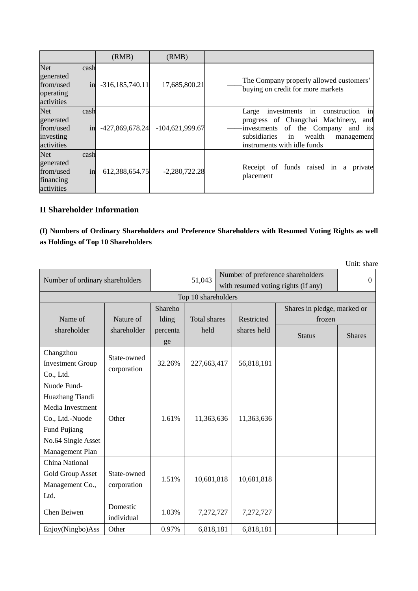|                                                                 |            | (RMB)               | (RMB)             |                                                                                                                                                                                                                       |
|-----------------------------------------------------------------|------------|---------------------|-------------------|-----------------------------------------------------------------------------------------------------------------------------------------------------------------------------------------------------------------------|
| <b>Net</b><br>generated<br>from/used<br>operating<br>activities | cash<br>in | $-316, 185, 740.11$ | 17,685,800.21     | The Company properly allowed customers'<br>buying on credit for more markets                                                                                                                                          |
| <b>Net</b><br>generated<br>from/used<br>investing<br>activities | cash<br>in | -427,869,678.24     | $-104,621,999.67$ | $\sin$<br>construction<br>investments<br>Large<br>in<br>progress of Changchai Machinery,<br>and<br>of the Company and its<br>investments<br>subsidiaries<br>wealth<br>in<br>management<br>instruments with idle funds |
| <b>Net</b><br>generated<br>from/used<br>financing<br>activities | cash<br>in | 612,388,654.75      | $-2,280,722.28$   | Receipt of funds raised in<br>a<br>private<br>placement                                                                                                                                                               |

## **II Shareholder Information**

## **(I) Numbers of Ordinary Shareholders and Preference Shareholders with Resumed Voting Rights as well as Holdings of Top 10 Shareholders**

Unit: share

| Number of ordinary shareholders                                                                                                |                            | 51,043           |              |  | Number of preference shareholders<br>with resumed voting rights (if any) |                                       | $\Omega$      |
|--------------------------------------------------------------------------------------------------------------------------------|----------------------------|------------------|--------------|--|--------------------------------------------------------------------------|---------------------------------------|---------------|
| Top 10 shareholders                                                                                                            |                            |                  |              |  |                                                                          |                                       |               |
| Name of                                                                                                                        | Nature of                  | Shareho<br>lding | Total shares |  | Restricted                                                               | Shares in pledge, marked or<br>frozen |               |
| shareholder                                                                                                                    | shareholder                | percenta<br>ge   | held         |  | shares held                                                              | <b>Status</b>                         | <b>Shares</b> |
| Changzhou<br><b>Investment Group</b><br>Co., Ltd.                                                                              | State-owned<br>corporation | 32.26%           | 227,663,417  |  | 56,818,181                                                               |                                       |               |
| Nuode Fund-<br>Huazhang Tiandi<br>Media Investment<br>Co., Ltd.-Nuode<br>Fund Pujiang<br>No.64 Single Asset<br>Management Plan | Other                      | 1.61%            | 11,363,636   |  | 11,363,636                                                               |                                       |               |
| China National<br>Gold Group Asset<br>Management Co.,<br>Ltd.                                                                  | State-owned<br>corporation | 1.51%            | 10,681,818   |  | 10,681,818                                                               |                                       |               |
| Chen Beiwen                                                                                                                    | Domestic<br>individual     | 1.03%            | 7,272,727    |  | 7,272,727                                                                |                                       |               |
| Enjoy(Ningbo)Ass                                                                                                               | Other                      | 0.97%            | 6,818,181    |  | 6,818,181                                                                |                                       |               |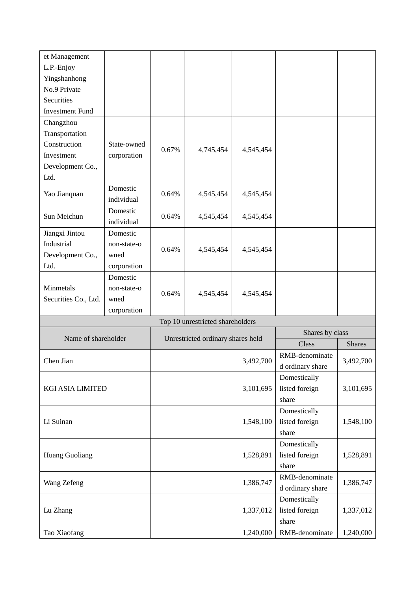| Yingshanhong<br>No.9 Private                                              | et Management |  |                                   |  |  |           |
|---------------------------------------------------------------------------|---------------|--|-----------------------------------|--|--|-----------|
|                                                                           | L.P.-Enjoy    |  |                                   |  |  |           |
|                                                                           |               |  |                                   |  |  |           |
|                                                                           |               |  |                                   |  |  |           |
|                                                                           | Securities    |  |                                   |  |  |           |
| <b>Investment Fund</b>                                                    |               |  |                                   |  |  |           |
| Changzhou                                                                 |               |  |                                   |  |  |           |
| Transportation                                                            |               |  |                                   |  |  |           |
| Construction<br>State-owned<br>0.67%<br>4,745,454<br>4,545,454            |               |  |                                   |  |  |           |
| corporation<br>Investment                                                 |               |  |                                   |  |  |           |
| Development Co.,                                                          |               |  |                                   |  |  |           |
| Ltd.                                                                      |               |  |                                   |  |  |           |
| Domestic<br>0.64%<br>4,545,454<br>4,545,454<br>Yao Jianquan<br>individual |               |  |                                   |  |  |           |
| Domestic                                                                  |               |  |                                   |  |  |           |
| Sun Meichun<br>0.64%<br>4,545,454<br>4,545,454<br>individual              |               |  |                                   |  |  |           |
| Jiangxi Jintou<br>Domestic                                                |               |  |                                   |  |  |           |
| Industrial<br>non-state-o<br>0.64%<br>4,545,454                           |               |  |                                   |  |  |           |
| 4,545,454<br>Development Co.,<br>wned                                     |               |  |                                   |  |  |           |
| Ltd.<br>corporation                                                       |               |  |                                   |  |  |           |
| Domestic                                                                  |               |  |                                   |  |  |           |
| Minmetals<br>non-state-o<br>0.64%                                         |               |  |                                   |  |  |           |
| 4,545,454<br>4,545,454<br>Securities Co., Ltd.<br>wned                    |               |  |                                   |  |  |           |
| corporation                                                               |               |  |                                   |  |  |           |
| Top 10 unrestricted shareholders                                          |               |  |                                   |  |  |           |
| Shares by class<br>Name of shareholder                                    |               |  | Unrestricted ordinary shares held |  |  |           |
| Class<br><b>Shares</b>                                                    |               |  |                                   |  |  |           |
| RMB-denominate<br>Chen Jian<br>3,492,700                                  |               |  |                                   |  |  | 3,492,700 |
| d ordinary share                                                          |               |  |                                   |  |  |           |
| Domestically                                                              |               |  |                                   |  |  |           |
| listed foreign<br>3,101,695<br><b>KGI ASIA LIMITED</b>                    |               |  |                                   |  |  | 3,101,695 |
| share                                                                     |               |  |                                   |  |  |           |
| Domestically                                                              |               |  |                                   |  |  |           |
| listed foreign<br>Li Suinan<br>1,548,100                                  |               |  |                                   |  |  | 1,548,100 |
| share                                                                     |               |  |                                   |  |  |           |
| Domestically                                                              |               |  |                                   |  |  |           |
| listed foreign<br>Huang Guoliang<br>1,528,891                             |               |  |                                   |  |  | 1,528,891 |
| share                                                                     |               |  |                                   |  |  |           |
| RMB-denominate                                                            |               |  |                                   |  |  |           |
| 1,386,747<br>Wang Zefeng<br>d ordinary share                              |               |  |                                   |  |  | 1,386,747 |
| Domestically                                                              |               |  |                                   |  |  |           |
| listed foreign<br>1,337,012<br>Lu Zhang                                   |               |  |                                   |  |  | 1,337,012 |
| share                                                                     |               |  |                                   |  |  |           |
| RMB-denominate<br>Tao Xiaofang<br>1,240,000                               |               |  |                                   |  |  | 1,240,000 |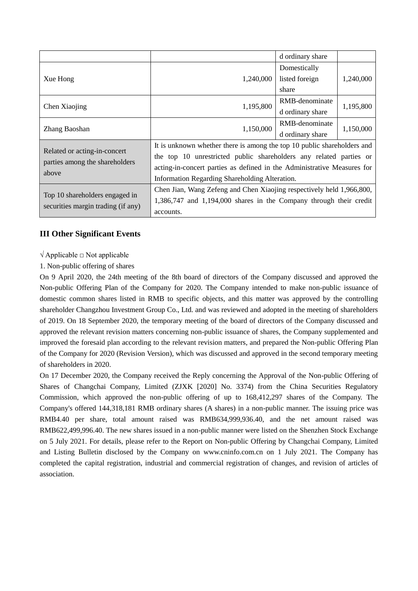|                                         |                                                                         | d ordinary share |           |  |  |
|-----------------------------------------|-------------------------------------------------------------------------|------------------|-----------|--|--|
|                                         |                                                                         | Domestically     |           |  |  |
| Xue Hong                                | 1,240,000                                                               | listed foreign   | 1,240,000 |  |  |
|                                         |                                                                         | share            |           |  |  |
| Chen Xiaojing                           | 1,195,800                                                               | RMB-denominate   | 1,195,800 |  |  |
|                                         |                                                                         | d ordinary share |           |  |  |
|                                         | 1,150,000                                                               | RMB-denominate   |           |  |  |
| Zhang Baoshan                           |                                                                         | d ordinary share | 1,150,000 |  |  |
|                                         | It is unknown whether there is among the top 10 public shareholders and |                  |           |  |  |
| Related or acting-in-concert            | the top 10 unrestricted public shareholders any related parties or      |                  |           |  |  |
| parties among the shareholders<br>above | acting-in-concert parties as defined in the Administrative Measures for |                  |           |  |  |
|                                         | Information Regarding Shareholding Alteration.                          |                  |           |  |  |
|                                         | Chen Jian, Wang Zefeng and Chen Xiaojing respectively held 1,966,800,   |                  |           |  |  |
| Top 10 shareholders engaged in          | $1,386,747$ and $1,194,000$ shares in the Company through their credit  |                  |           |  |  |
| securities margin trading (if any)      | accounts.                                                               |                  |           |  |  |

### **III Other Significant Events**

 $\sqrt{\text{Applied}}$   $\Box$  Not applicable

1. Non-public offering of shares

On 9 April 2020, the 24th meeting of the 8th board of directors of the Company discussed and approved the Non-public Offering Plan of the Company for 2020. The Company intended to make non-public issuance of domestic common shares listed in RMB to specific objects, and this matter was approved by the controlling shareholder Changzhou Investment Group Co., Ltd. and was reviewed and adopted in the meeting of shareholders of 2019. On 18 September 2020, the temporary meeting of the board of directors of the Company discussed and approved the relevant revision matters concerning non-public issuance of shares, the Company supplemented and improved the foresaid plan according to the relevant revision matters, and prepared the Non-public Offering Plan of the Company for 2020 (Revision Version), which was discussed and approved in the second temporary meeting of shareholders in 2020.

On 17 December 2020, the Company received the Reply concerning the Approval of the Non-public Offering of Shares of Changchai Company, Limited (ZJXK [2020] No. 3374) from the China Securities Regulatory Commission, which approved the non-public offering of up to 168,412,297 shares of the Company. The Company's offered 144,318,181 RMB ordinary shares (A shares) in a non-public manner. The issuing price was RMB4.40 per share, total amount raised was RMB634,999,936.40, and the net amount raised was RMB622,499,996.40. The new shares issued in a non-public manner were listed on the Shenzhen Stock Exchange on 5 July 2021. For details, please refer to the Report on Non-public Offering by Changchai Company, Limited and Listing Bulletin disclosed by the Company on www.cninfo.com.cn on 1 July 2021. The Company has completed the capital registration, industrial and commercial registration of changes, and revision of articles of association.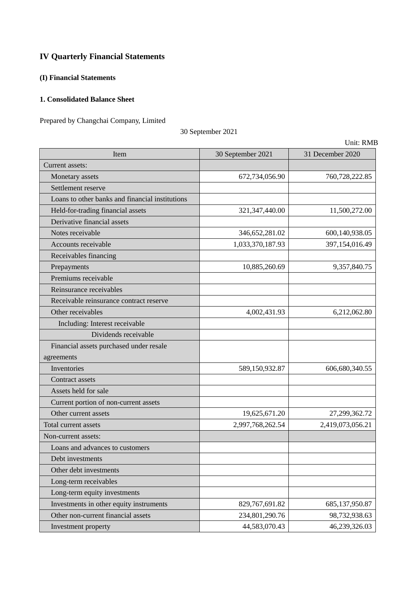## **IV Quarterly Financial Statements**

## **(I) Financial Statements**

## **1. Consolidated Balance Sheet**

Prepared by Changchai Company, Limited

30 September 2021

| Item                                            | 30 September 2021 | 31 December 2020 |
|-------------------------------------------------|-------------------|------------------|
| Current assets:                                 |                   |                  |
| Monetary assets                                 | 672,734,056.90    | 760,728,222.85   |
| Settlement reserve                              |                   |                  |
| Loans to other banks and financial institutions |                   |                  |
| Held-for-trading financial assets               | 321, 347, 440.00  | 11,500,272.00    |
| Derivative financial assets                     |                   |                  |
| Notes receivable                                | 346, 652, 281.02  | 600,140,938.05   |
| Accounts receivable                             | 1,033,370,187.93  | 397,154,016.49   |
| Receivables financing                           |                   |                  |
| Prepayments                                     | 10,885,260.69     | 9,357,840.75     |
| Premiums receivable                             |                   |                  |
| Reinsurance receivables                         |                   |                  |
| Receivable reinsurance contract reserve         |                   |                  |
| Other receivables                               | 4,002,431.93      | 6,212,062.80     |
| Including: Interest receivable                  |                   |                  |
| Dividends receivable                            |                   |                  |
| Financial assets purchased under resale         |                   |                  |
| agreements                                      |                   |                  |
| Inventories                                     | 589,150,932.87    | 606,680,340.55   |
| Contract assets                                 |                   |                  |
| Assets held for sale                            |                   |                  |
| Current portion of non-current assets           |                   |                  |
| Other current assets                            | 19,625,671.20     | 27,299,362.72    |
| Total current assets                            | 2,997,768,262.54  | 2,419,073,056.21 |
| Non-current assets:                             |                   |                  |
| Loans and advances to customers                 |                   |                  |
| Debt investments                                |                   |                  |
| Other debt investments                          |                   |                  |
| Long-term receivables                           |                   |                  |
| Long-term equity investments                    |                   |                  |
| Investments in other equity instruments         | 829,767,691.82    | 685, 137, 950.87 |
| Other non-current financial assets              | 234,801,290.76    | 98,732,938.63    |
| Investment property                             | 44,583,070.43     | 46,239,326.03    |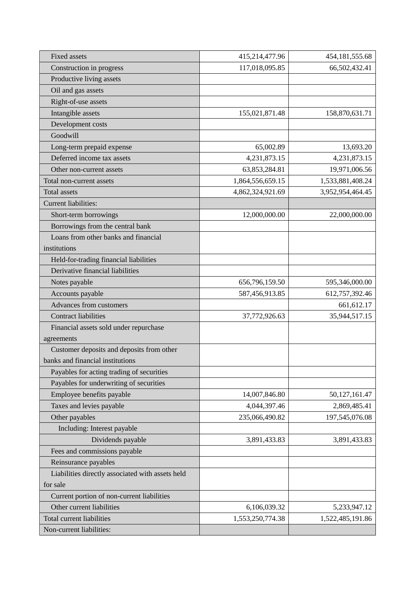| <b>Fixed assets</b>                              | 415,214,477.96   | 454, 181, 555. 68 |
|--------------------------------------------------|------------------|-------------------|
| Construction in progress                         | 117,018,095.85   | 66,502,432.41     |
| Productive living assets                         |                  |                   |
| Oil and gas assets                               |                  |                   |
| Right-of-use assets                              |                  |                   |
| Intangible assets                                | 155,021,871.48   | 158,870,631.71    |
| Development costs                                |                  |                   |
| Goodwill                                         |                  |                   |
| Long-term prepaid expense                        | 65,002.89        | 13,693.20         |
| Deferred income tax assets                       | 4,231,873.15     | 4,231,873.15      |
| Other non-current assets                         | 63,853,284.81    | 19,971,006.56     |
| Total non-current assets                         | 1,864,556,659.15 | 1,533,881,408.24  |
| Total assets                                     | 4,862,324,921.69 | 3,952,954,464.45  |
| <b>Current liabilities:</b>                      |                  |                   |
| Short-term borrowings                            | 12,000,000.00    | 22,000,000.00     |
| Borrowings from the central bank                 |                  |                   |
| Loans from other banks and financial             |                  |                   |
| institutions                                     |                  |                   |
| Held-for-trading financial liabilities           |                  |                   |
| Derivative financial liabilities                 |                  |                   |
| Notes payable                                    | 656,796,159.50   | 595,346,000.00    |
| Accounts payable                                 | 587,456,913.85   | 612,757,392.46    |
| Advances from customers                          |                  | 661, 612. 17      |
| <b>Contract liabilities</b>                      | 37,772,926.63    | 35,944,517.15     |
| Financial assets sold under repurchase           |                  |                   |
| agreements                                       |                  |                   |
| Customer deposits and deposits from other        |                  |                   |
| banks and financial institutions                 |                  |                   |
| Payables for acting trading of securities        |                  |                   |
| Payables for underwriting of securities          |                  |                   |
| Employee benefits payable                        | 14,007,846.80    | 50,127,161.47     |
| Taxes and levies payable                         | 4,044,397.46     | 2,869,485.41      |
| Other payables                                   | 235,066,490.82   | 197,545,076.08    |
| Including: Interest payable                      |                  |                   |
| Dividends payable                                | 3,891,433.83     | 3,891,433.83      |
| Fees and commissions payable                     |                  |                   |
| Reinsurance payables                             |                  |                   |
| Liabilities directly associated with assets held |                  |                   |
| for sale                                         |                  |                   |
| Current portion of non-current liabilities       |                  |                   |
| Other current liabilities                        | 6,106,039.32     | 5,233,947.12      |
| Total current liabilities                        | 1,553,250,774.38 | 1,522,485,191.86  |
| Non-current liabilities:                         |                  |                   |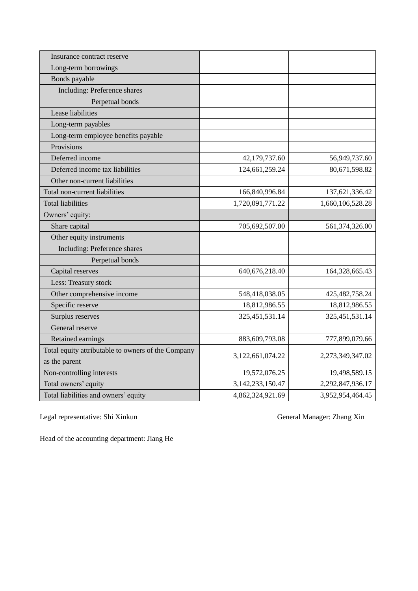| Insurance contract reserve                                          |                      |                   |
|---------------------------------------------------------------------|----------------------|-------------------|
| Long-term borrowings                                                |                      |                   |
| Bonds payable                                                       |                      |                   |
| Including: Preference shares                                        |                      |                   |
| Perpetual bonds                                                     |                      |                   |
| Lease liabilities                                                   |                      |                   |
| Long-term payables                                                  |                      |                   |
| Long-term employee benefits payable                                 |                      |                   |
| Provisions                                                          |                      |                   |
| Deferred income                                                     | 42,179,737.60        | 56,949,737.60     |
| Deferred income tax liabilities                                     | 124,661,259.24       | 80,671,598.82     |
| Other non-current liabilities                                       |                      |                   |
| Total non-current liabilities                                       | 166,840,996.84       | 137,621,336.42    |
| <b>Total liabilities</b>                                            | 1,720,091,771.22     | 1,660,106,528.28  |
| Owners' equity:                                                     |                      |                   |
| Share capital                                                       | 705,692,507.00       | 561,374,326.00    |
| Other equity instruments                                            |                      |                   |
| Including: Preference shares                                        |                      |                   |
| Perpetual bonds                                                     |                      |                   |
| Capital reserves                                                    | 640, 676, 218. 40    | 164,328,665.43    |
| Less: Treasury stock                                                |                      |                   |
| Other comprehensive income                                          | 548,418,038.05       | 425, 482, 758. 24 |
| Specific reserve                                                    | 18,812,986.55        | 18,812,986.55     |
| Surplus reserves                                                    | 325,451,531.14       | 325, 451, 531.14  |
| General reserve                                                     |                      |                   |
| Retained earnings                                                   | 883,609,793.08       | 777,899,079.66    |
| Total equity attributable to owners of the Company<br>as the parent | 3,122,661,074.22     | 2,273,349,347.02  |
| Non-controlling interests                                           | 19,572,076.25        | 19,498,589.15     |
| Total owners' equity                                                | 3, 142, 233, 150. 47 | 2,292,847,936.17  |
| Total liabilities and owners' equity                                | 4,862,324,921.69     | 3,952,954,464.45  |

Legal representative: Shi Xinkun General Manager: Zhang Xin

Head of the accounting department: Jiang He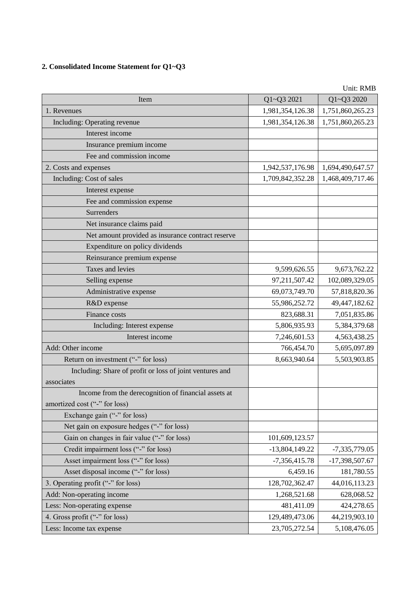## **2. Consolidated Income Statement for Q1~Q3**

| 1,751,860,265.23<br>1,981,354,126.38<br>1. Revenues<br>Including: Operating revenue<br>1,981,354,126.38<br>1,751,860,265.23<br>Interest income<br>Insurance premium income<br>Fee and commission income<br>2. Costs and expenses<br>1,694,490,647.57<br>1,942,537,176.98<br>Including: Cost of sales<br>1,709,842,352.28<br>1,468,409,717.46<br>Interest expense<br>Fee and commission expense<br>Surrenders<br>Net insurance claims paid<br>Net amount provided as insurance contract reserve<br>Expenditure on policy dividends<br>Reinsurance premium expense<br>Taxes and levies<br>9,673,762.22<br>9,599,626.55<br>97,211,507.42<br>102,089,329.05<br>Selling expense<br>Administrative expense<br>69,073,749.70<br>57,818,820.36<br>R&D expense<br>55,986,252.72<br>49,447,182.62<br>823,688.31<br>7,051,835.86<br>Finance costs<br>5,806,935.93<br>5,384,379.68<br>Including: Interest expense<br>Interest income<br>7,246,601.53<br>4,563,438.25<br>Add: Other income<br>766,454.70<br>5,695,097.89<br>Return on investment ("-" for loss)<br>8,663,940.64<br>5,503,903.85<br>Including: Share of profit or loss of joint ventures and<br>associates<br>Income from the derecognition of financial assets at<br>amortized cost ("-" for loss)<br>Exchange gain ("-" for loss)<br>Net gain on exposure hedges ("-" for loss)<br>Gain on changes in fair value ("-" for loss)<br>101,609,123.57<br>Credit impairment loss ("-" for loss)<br>$-13,804,149.22$<br>$-7,335,779.05$<br>Asset impairment loss ("-" for loss)<br>$-7,356,415.78$<br>-17,398,507.67<br>Asset disposal income ("-" for loss)<br>6,459.16<br>181,780.55<br>3. Operating profit ("-" for loss)<br>128,702,362.47<br>44,016,113.23<br>Add: Non-operating income<br>1,268,521.68<br>628,068.52<br>Less: Non-operating expense<br>481,411.09<br>424,278.65<br>4. Gross profit ("-" for loss)<br>129,489,473.06<br>44,219,903.10 | Item                     | Q1~Q3 2021    | UNII: KMB<br>Q1~Q3 2020 |
|----------------------------------------------------------------------------------------------------------------------------------------------------------------------------------------------------------------------------------------------------------------------------------------------------------------------------------------------------------------------------------------------------------------------------------------------------------------------------------------------------------------------------------------------------------------------------------------------------------------------------------------------------------------------------------------------------------------------------------------------------------------------------------------------------------------------------------------------------------------------------------------------------------------------------------------------------------------------------------------------------------------------------------------------------------------------------------------------------------------------------------------------------------------------------------------------------------------------------------------------------------------------------------------------------------------------------------------------------------------------------------------------------------------------------------------------------------------------------------------------------------------------------------------------------------------------------------------------------------------------------------------------------------------------------------------------------------------------------------------------------------------------------------------------------------------------------------------------------------------------------------------------------------|--------------------------|---------------|-------------------------|
|                                                                                                                                                                                                                                                                                                                                                                                                                                                                                                                                                                                                                                                                                                                                                                                                                                                                                                                                                                                                                                                                                                                                                                                                                                                                                                                                                                                                                                                                                                                                                                                                                                                                                                                                                                                                                                                                                                          |                          |               |                         |
|                                                                                                                                                                                                                                                                                                                                                                                                                                                                                                                                                                                                                                                                                                                                                                                                                                                                                                                                                                                                                                                                                                                                                                                                                                                                                                                                                                                                                                                                                                                                                                                                                                                                                                                                                                                                                                                                                                          |                          |               |                         |
|                                                                                                                                                                                                                                                                                                                                                                                                                                                                                                                                                                                                                                                                                                                                                                                                                                                                                                                                                                                                                                                                                                                                                                                                                                                                                                                                                                                                                                                                                                                                                                                                                                                                                                                                                                                                                                                                                                          |                          |               |                         |
|                                                                                                                                                                                                                                                                                                                                                                                                                                                                                                                                                                                                                                                                                                                                                                                                                                                                                                                                                                                                                                                                                                                                                                                                                                                                                                                                                                                                                                                                                                                                                                                                                                                                                                                                                                                                                                                                                                          |                          |               |                         |
|                                                                                                                                                                                                                                                                                                                                                                                                                                                                                                                                                                                                                                                                                                                                                                                                                                                                                                                                                                                                                                                                                                                                                                                                                                                                                                                                                                                                                                                                                                                                                                                                                                                                                                                                                                                                                                                                                                          |                          |               |                         |
|                                                                                                                                                                                                                                                                                                                                                                                                                                                                                                                                                                                                                                                                                                                                                                                                                                                                                                                                                                                                                                                                                                                                                                                                                                                                                                                                                                                                                                                                                                                                                                                                                                                                                                                                                                                                                                                                                                          |                          |               |                         |
|                                                                                                                                                                                                                                                                                                                                                                                                                                                                                                                                                                                                                                                                                                                                                                                                                                                                                                                                                                                                                                                                                                                                                                                                                                                                                                                                                                                                                                                                                                                                                                                                                                                                                                                                                                                                                                                                                                          |                          |               |                         |
|                                                                                                                                                                                                                                                                                                                                                                                                                                                                                                                                                                                                                                                                                                                                                                                                                                                                                                                                                                                                                                                                                                                                                                                                                                                                                                                                                                                                                                                                                                                                                                                                                                                                                                                                                                                                                                                                                                          |                          |               |                         |
|                                                                                                                                                                                                                                                                                                                                                                                                                                                                                                                                                                                                                                                                                                                                                                                                                                                                                                                                                                                                                                                                                                                                                                                                                                                                                                                                                                                                                                                                                                                                                                                                                                                                                                                                                                                                                                                                                                          |                          |               |                         |
|                                                                                                                                                                                                                                                                                                                                                                                                                                                                                                                                                                                                                                                                                                                                                                                                                                                                                                                                                                                                                                                                                                                                                                                                                                                                                                                                                                                                                                                                                                                                                                                                                                                                                                                                                                                                                                                                                                          |                          |               |                         |
|                                                                                                                                                                                                                                                                                                                                                                                                                                                                                                                                                                                                                                                                                                                                                                                                                                                                                                                                                                                                                                                                                                                                                                                                                                                                                                                                                                                                                                                                                                                                                                                                                                                                                                                                                                                                                                                                                                          |                          |               |                         |
|                                                                                                                                                                                                                                                                                                                                                                                                                                                                                                                                                                                                                                                                                                                                                                                                                                                                                                                                                                                                                                                                                                                                                                                                                                                                                                                                                                                                                                                                                                                                                                                                                                                                                                                                                                                                                                                                                                          |                          |               |                         |
|                                                                                                                                                                                                                                                                                                                                                                                                                                                                                                                                                                                                                                                                                                                                                                                                                                                                                                                                                                                                                                                                                                                                                                                                                                                                                                                                                                                                                                                                                                                                                                                                                                                                                                                                                                                                                                                                                                          |                          |               |                         |
|                                                                                                                                                                                                                                                                                                                                                                                                                                                                                                                                                                                                                                                                                                                                                                                                                                                                                                                                                                                                                                                                                                                                                                                                                                                                                                                                                                                                                                                                                                                                                                                                                                                                                                                                                                                                                                                                                                          |                          |               |                         |
|                                                                                                                                                                                                                                                                                                                                                                                                                                                                                                                                                                                                                                                                                                                                                                                                                                                                                                                                                                                                                                                                                                                                                                                                                                                                                                                                                                                                                                                                                                                                                                                                                                                                                                                                                                                                                                                                                                          |                          |               |                         |
|                                                                                                                                                                                                                                                                                                                                                                                                                                                                                                                                                                                                                                                                                                                                                                                                                                                                                                                                                                                                                                                                                                                                                                                                                                                                                                                                                                                                                                                                                                                                                                                                                                                                                                                                                                                                                                                                                                          |                          |               |                         |
|                                                                                                                                                                                                                                                                                                                                                                                                                                                                                                                                                                                                                                                                                                                                                                                                                                                                                                                                                                                                                                                                                                                                                                                                                                                                                                                                                                                                                                                                                                                                                                                                                                                                                                                                                                                                                                                                                                          |                          |               |                         |
|                                                                                                                                                                                                                                                                                                                                                                                                                                                                                                                                                                                                                                                                                                                                                                                                                                                                                                                                                                                                                                                                                                                                                                                                                                                                                                                                                                                                                                                                                                                                                                                                                                                                                                                                                                                                                                                                                                          |                          |               |                         |
|                                                                                                                                                                                                                                                                                                                                                                                                                                                                                                                                                                                                                                                                                                                                                                                                                                                                                                                                                                                                                                                                                                                                                                                                                                                                                                                                                                                                                                                                                                                                                                                                                                                                                                                                                                                                                                                                                                          |                          |               |                         |
|                                                                                                                                                                                                                                                                                                                                                                                                                                                                                                                                                                                                                                                                                                                                                                                                                                                                                                                                                                                                                                                                                                                                                                                                                                                                                                                                                                                                                                                                                                                                                                                                                                                                                                                                                                                                                                                                                                          |                          |               |                         |
|                                                                                                                                                                                                                                                                                                                                                                                                                                                                                                                                                                                                                                                                                                                                                                                                                                                                                                                                                                                                                                                                                                                                                                                                                                                                                                                                                                                                                                                                                                                                                                                                                                                                                                                                                                                                                                                                                                          |                          |               |                         |
|                                                                                                                                                                                                                                                                                                                                                                                                                                                                                                                                                                                                                                                                                                                                                                                                                                                                                                                                                                                                                                                                                                                                                                                                                                                                                                                                                                                                                                                                                                                                                                                                                                                                                                                                                                                                                                                                                                          |                          |               |                         |
|                                                                                                                                                                                                                                                                                                                                                                                                                                                                                                                                                                                                                                                                                                                                                                                                                                                                                                                                                                                                                                                                                                                                                                                                                                                                                                                                                                                                                                                                                                                                                                                                                                                                                                                                                                                                                                                                                                          |                          |               |                         |
|                                                                                                                                                                                                                                                                                                                                                                                                                                                                                                                                                                                                                                                                                                                                                                                                                                                                                                                                                                                                                                                                                                                                                                                                                                                                                                                                                                                                                                                                                                                                                                                                                                                                                                                                                                                                                                                                                                          |                          |               |                         |
|                                                                                                                                                                                                                                                                                                                                                                                                                                                                                                                                                                                                                                                                                                                                                                                                                                                                                                                                                                                                                                                                                                                                                                                                                                                                                                                                                                                                                                                                                                                                                                                                                                                                                                                                                                                                                                                                                                          |                          |               |                         |
|                                                                                                                                                                                                                                                                                                                                                                                                                                                                                                                                                                                                                                                                                                                                                                                                                                                                                                                                                                                                                                                                                                                                                                                                                                                                                                                                                                                                                                                                                                                                                                                                                                                                                                                                                                                                                                                                                                          |                          |               |                         |
|                                                                                                                                                                                                                                                                                                                                                                                                                                                                                                                                                                                                                                                                                                                                                                                                                                                                                                                                                                                                                                                                                                                                                                                                                                                                                                                                                                                                                                                                                                                                                                                                                                                                                                                                                                                                                                                                                                          |                          |               |                         |
|                                                                                                                                                                                                                                                                                                                                                                                                                                                                                                                                                                                                                                                                                                                                                                                                                                                                                                                                                                                                                                                                                                                                                                                                                                                                                                                                                                                                                                                                                                                                                                                                                                                                                                                                                                                                                                                                                                          |                          |               |                         |
|                                                                                                                                                                                                                                                                                                                                                                                                                                                                                                                                                                                                                                                                                                                                                                                                                                                                                                                                                                                                                                                                                                                                                                                                                                                                                                                                                                                                                                                                                                                                                                                                                                                                                                                                                                                                                                                                                                          |                          |               |                         |
|                                                                                                                                                                                                                                                                                                                                                                                                                                                                                                                                                                                                                                                                                                                                                                                                                                                                                                                                                                                                                                                                                                                                                                                                                                                                                                                                                                                                                                                                                                                                                                                                                                                                                                                                                                                                                                                                                                          |                          |               |                         |
|                                                                                                                                                                                                                                                                                                                                                                                                                                                                                                                                                                                                                                                                                                                                                                                                                                                                                                                                                                                                                                                                                                                                                                                                                                                                                                                                                                                                                                                                                                                                                                                                                                                                                                                                                                                                                                                                                                          |                          |               |                         |
|                                                                                                                                                                                                                                                                                                                                                                                                                                                                                                                                                                                                                                                                                                                                                                                                                                                                                                                                                                                                                                                                                                                                                                                                                                                                                                                                                                                                                                                                                                                                                                                                                                                                                                                                                                                                                                                                                                          |                          |               |                         |
|                                                                                                                                                                                                                                                                                                                                                                                                                                                                                                                                                                                                                                                                                                                                                                                                                                                                                                                                                                                                                                                                                                                                                                                                                                                                                                                                                                                                                                                                                                                                                                                                                                                                                                                                                                                                                                                                                                          |                          |               |                         |
|                                                                                                                                                                                                                                                                                                                                                                                                                                                                                                                                                                                                                                                                                                                                                                                                                                                                                                                                                                                                                                                                                                                                                                                                                                                                                                                                                                                                                                                                                                                                                                                                                                                                                                                                                                                                                                                                                                          |                          |               |                         |
|                                                                                                                                                                                                                                                                                                                                                                                                                                                                                                                                                                                                                                                                                                                                                                                                                                                                                                                                                                                                                                                                                                                                                                                                                                                                                                                                                                                                                                                                                                                                                                                                                                                                                                                                                                                                                                                                                                          |                          |               |                         |
|                                                                                                                                                                                                                                                                                                                                                                                                                                                                                                                                                                                                                                                                                                                                                                                                                                                                                                                                                                                                                                                                                                                                                                                                                                                                                                                                                                                                                                                                                                                                                                                                                                                                                                                                                                                                                                                                                                          |                          |               |                         |
|                                                                                                                                                                                                                                                                                                                                                                                                                                                                                                                                                                                                                                                                                                                                                                                                                                                                                                                                                                                                                                                                                                                                                                                                                                                                                                                                                                                                                                                                                                                                                                                                                                                                                                                                                                                                                                                                                                          |                          |               |                         |
|                                                                                                                                                                                                                                                                                                                                                                                                                                                                                                                                                                                                                                                                                                                                                                                                                                                                                                                                                                                                                                                                                                                                                                                                                                                                                                                                                                                                                                                                                                                                                                                                                                                                                                                                                                                                                                                                                                          |                          |               |                         |
|                                                                                                                                                                                                                                                                                                                                                                                                                                                                                                                                                                                                                                                                                                                                                                                                                                                                                                                                                                                                                                                                                                                                                                                                                                                                                                                                                                                                                                                                                                                                                                                                                                                                                                                                                                                                                                                                                                          | Less: Income tax expense | 23,705,272.54 | 5,108,476.05            |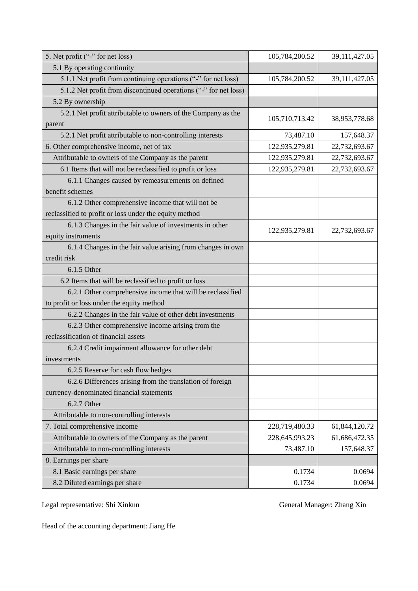| 5. Net profit ("-" for net loss)                                        | 105,784,200.52 | 39,111,427.05 |
|-------------------------------------------------------------------------|----------------|---------------|
| 5.1 By operating continuity                                             |                |               |
| 5.1.1 Net profit from continuing operations ("-" for net loss)          | 105,784,200.52 | 39,111,427.05 |
| 5.1.2 Net profit from discontinued operations ("-" for net loss)        |                |               |
| 5.2 By ownership                                                        |                |               |
| 5.2.1 Net profit attributable to owners of the Company as the<br>parent | 105,710,713.42 | 38,953,778.68 |
| 5.2.1 Net profit attributable to non-controlling interests              | 73,487.10      | 157,648.37    |
| 6. Other comprehensive income, net of tax                               | 122,935,279.81 | 22,732,693.67 |
| Attributable to owners of the Company as the parent                     | 122,935,279.81 | 22,732,693.67 |
| 6.1 Items that will not be reclassified to profit or loss               | 122,935,279.81 | 22,732,693.67 |
| 6.1.1 Changes caused by remeasurements on defined                       |                |               |
| benefit schemes                                                         |                |               |
| 6.1.2 Other comprehensive income that will not be                       |                |               |
| reclassified to profit or loss under the equity method                  |                |               |
| 6.1.3 Changes in the fair value of investments in other                 |                |               |
| equity instruments                                                      | 122,935,279.81 | 22,732,693.67 |
| 6.1.4 Changes in the fair value arising from changes in own             |                |               |
| credit risk                                                             |                |               |
| 6.1.5 Other                                                             |                |               |
| 6.2 Items that will be reclassified to profit or loss                   |                |               |
| 6.2.1 Other comprehensive income that will be reclassified              |                |               |
| to profit or loss under the equity method                               |                |               |
| 6.2.2 Changes in the fair value of other debt investments               |                |               |
| 6.2.3 Other comprehensive income arising from the                       |                |               |
| reclassification of financial assets                                    |                |               |
| 6.2.4 Credit impairment allowance for other debt                        |                |               |
| investments                                                             |                |               |
| 6.2.5 Reserve for cash flow hedges                                      |                |               |
| 6.2.6 Differences arising from the translation of foreign               |                |               |
| currency-denominated financial statements                               |                |               |
| 6.2.7 Other                                                             |                |               |
| Attributable to non-controlling interests                               |                |               |
| 7. Total comprehensive income                                           | 228,719,480.33 | 61,844,120.72 |
| Attributable to owners of the Company as the parent                     | 228,645,993.23 | 61,686,472.35 |
| Attributable to non-controlling interests                               | 73,487.10      | 157,648.37    |
| 8. Earnings per share                                                   |                |               |
| 8.1 Basic earnings per share                                            | 0.1734         | 0.0694        |
| 8.2 Diluted earnings per share                                          | 0.1734         | 0.0694        |

Legal representative: Shi Xinkun General Manager: Zhang Xin

Head of the accounting department: Jiang He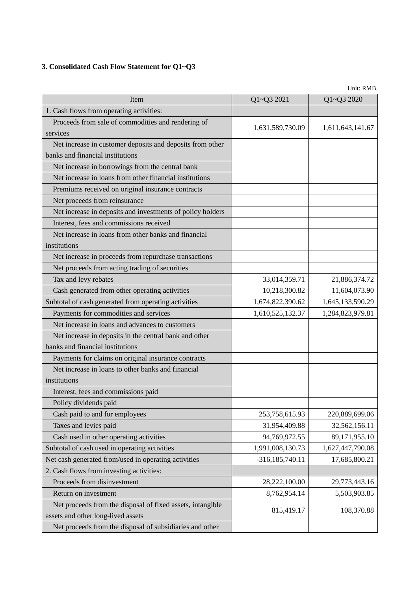## **3. Consolidated Cash Flow Statement for Q1~Q3**

| Item                                                       | Q1~Q3 2021          | UNIU: KMB<br>Q1~Q3 2020 |
|------------------------------------------------------------|---------------------|-------------------------|
| 1. Cash flows from operating activities:                   |                     |                         |
| Proceeds from sale of commodities and rendering of         |                     |                         |
| services                                                   | 1,631,589,730.09    | 1,611,643,141.67        |
| Net increase in customer deposits and deposits from other  |                     |                         |
| banks and financial institutions                           |                     |                         |
| Net increase in borrowings from the central bank           |                     |                         |
| Net increase in loans from other financial institutions    |                     |                         |
| Premiums received on original insurance contracts          |                     |                         |
| Net proceeds from reinsurance                              |                     |                         |
| Net increase in deposits and investments of policy holders |                     |                         |
| Interest, fees and commissions received                    |                     |                         |
| Net increase in loans from other banks and financial       |                     |                         |
| institutions                                               |                     |                         |
|                                                            |                     |                         |
| Net increase in proceeds from repurchase transactions      |                     |                         |
| Net proceeds from acting trading of securities             |                     |                         |
| Tax and levy rebates                                       | 33,014,359.71       | 21,886,374.72           |
| Cash generated from other operating activities             | 10,218,300.82       | 11,604,073.90           |
| Subtotal of cash generated from operating activities       | 1,674,822,390.62    | 1,645,133,590.29        |
| Payments for commodities and services                      | 1,610,525,132.37    | 1,284,823,979.81        |
| Net increase in loans and advances to customers            |                     |                         |
| Net increase in deposits in the central bank and other     |                     |                         |
| banks and financial institutions                           |                     |                         |
| Payments for claims on original insurance contracts        |                     |                         |
| Net increase in loans to other banks and financial         |                     |                         |
| institutions                                               |                     |                         |
| Interest, fees and commissions paid                        |                     |                         |
| Policy dividends paid                                      |                     |                         |
| Cash paid to and for employees                             | 253,758,615.93      | 220,889,699.06          |
| Taxes and levies paid                                      | 31,954,409.88       | 32,562,156.11           |
| Cash used in other operating activities                    | 94,769,972.55       | 89,171,955.10           |
| Subtotal of cash used in operating activities              | 1,991,008,130.73    | 1,627,447,790.08        |
| Net cash generated from/used in operating activities       | $-316, 185, 740.11$ | 17,685,800.21           |
| 2. Cash flows from investing activities:                   |                     |                         |
| Proceeds from disinvestment                                | 28,222,100.00       | 29,773,443.16           |
| Return on investment                                       | 8,762,954.14        | 5,503,903.85            |
| Net proceeds from the disposal of fixed assets, intangible |                     |                         |
| assets and other long-lived assets                         | 815,419.17          | 108,370.88              |
| Net proceeds from the disposal of subsidiaries and other   |                     |                         |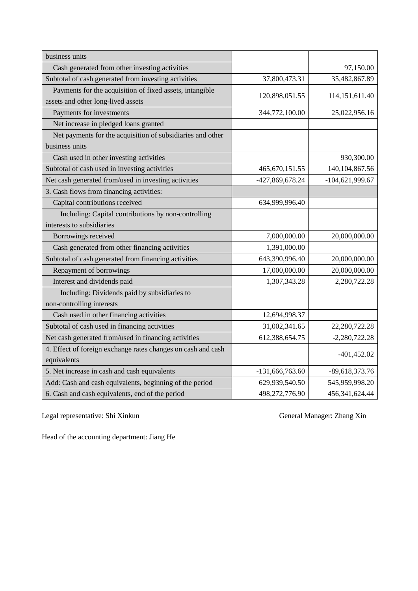| business units                                               |                   |                   |
|--------------------------------------------------------------|-------------------|-------------------|
| Cash generated from other investing activities               |                   | 97,150.00         |
| Subtotal of cash generated from investing activities         | 37,800,473.31     | 35,482,867.89     |
| Payments for the acquisition of fixed assets, intangible     |                   |                   |
| assets and other long-lived assets                           | 120,898,051.55    | 114, 151, 611. 40 |
| Payments for investments                                     | 344,772,100.00    | 25,022,956.16     |
| Net increase in pledged loans granted                        |                   |                   |
| Net payments for the acquisition of subsidiaries and other   |                   |                   |
| business units                                               |                   |                   |
| Cash used in other investing activities                      |                   | 930,300.00        |
| Subtotal of cash used in investing activities                | 465, 670, 151.55  | 140, 104, 867. 56 |
| Net cash generated from/used in investing activities         | -427,869,678.24   | -104,621,999.67   |
| 3. Cash flows from financing activities:                     |                   |                   |
| Capital contributions received                               | 634,999,996.40    |                   |
| Including: Capital contributions by non-controlling          |                   |                   |
| interests to subsidiaries                                    |                   |                   |
| Borrowings received                                          | 7,000,000.00      | 20,000,000.00     |
| Cash generated from other financing activities               | 1,391,000.00      |                   |
| Subtotal of cash generated from financing activities         | 643,390,996.40    | 20,000,000.00     |
| Repayment of borrowings                                      | 17,000,000.00     | 20,000,000.00     |
| Interest and dividends paid                                  | 1,307,343.28      | 2,280,722.28      |
| Including: Dividends paid by subsidiaries to                 |                   |                   |
| non-controlling interests                                    |                   |                   |
| Cash used in other financing activities                      | 12,694,998.37     |                   |
| Subtotal of cash used in financing activities                | 31,002,341.65     | 22,280,722.28     |
| Net cash generated from/used in financing activities         | 612,388,654.75    | $-2,280,722.28$   |
| 4. Effect of foreign exchange rates changes on cash and cash |                   |                   |
| equivalents                                                  |                   | $-401,452.02$     |
| 5. Net increase in cash and cash equivalents                 | $-131,666,763.60$ | -89,618,373.76    |
| Add: Cash and cash equivalents, beginning of the period      | 629,939,540.50    | 545,959,998.20    |
| 6. Cash and cash equivalents, end of the period              | 498,272,776.90    | 456, 341, 624. 44 |

Legal representative: Shi Xinkun General Manager: Zhang Xin

Head of the accounting department: Jiang He